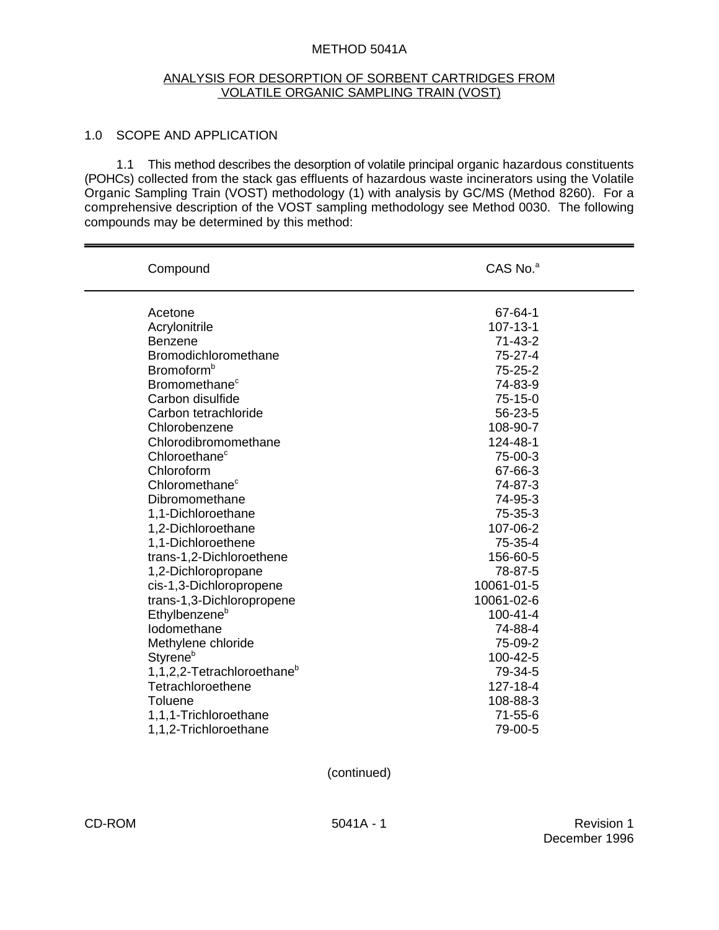#### METHOD 5041A

#### ANALYSIS FOR DESORPTION OF SORBENT CARTRIDGES FROM VOLATILE ORGANIC SAMPLING TRAIN (VOST)

## 1.0 SCOPE AND APPLICATION

1.1 This method describes the desorption of volatile principal organic hazardous constituents (POHCs) collected from the stack gas effluents of hazardous waste incinerators using the Volatile Organic Sampling Train (VOST) methodology (1) with analysis by GC/MS (Method 8260). For a comprehensive description of the VOST sampling methodology see Method 0030. The following compounds may be determined by this method:

| Compound                               | CAS No. <sup>a</sup> |
|----------------------------------------|----------------------|
| Acetone                                | 67-64-1              |
| Acrylonitrile                          | 107-13-1             |
| <b>Benzene</b>                         | $71 - 43 - 2$        |
| Bromodichloromethane                   | 75-27-4              |
| Bromoform <sup>b</sup>                 | 75-25-2              |
| Bromomethane <sup>c</sup>              | 74-83-9              |
| Carbon disulfide                       | $75-15-0$            |
| Carbon tetrachloride                   | 56-23-5              |
| Chlorobenzene                          | 108-90-7             |
| Chlorodibromomethane                   | 124-48-1             |
| Chloroethane <sup>c</sup>              | 75-00-3              |
| Chloroform                             | 67-66-3              |
| Chloromethane <sup>c</sup>             | 74-87-3              |
| Dibromomethane                         | 74-95-3              |
| 1,1-Dichloroethane                     | 75-35-3              |
| 1,2-Dichloroethane                     | 107-06-2             |
| 1,1-Dichloroethene                     | 75-35-4              |
| trans-1,2-Dichloroethene               | 156-60-5             |
| 1,2-Dichloropropane                    | 78-87-5              |
| cis-1,3-Dichloropropene                | 10061-01-5           |
| trans-1,3-Dichloropropene              | 10061-02-6           |
| Ethylbenzene <sup>b</sup>              | 100-41-4             |
| Iodomethane                            | 74-88-4              |
| Methylene chloride                     | 75-09-2              |
| <b>Styrene</b> <sup>b</sup>            | 100-42-5             |
| 1,1,2,2-Tetrachloroethane <sup>b</sup> | 79-34-5              |
| Tetrachloroethene                      | 127-18-4             |
| <b>Toluene</b>                         | 108-88-3             |
| 1,1,1-Trichloroethane                  | $71 - 55 - 6$        |
| 1,1,2-Trichloroethane                  | 79-00-5              |

(continued)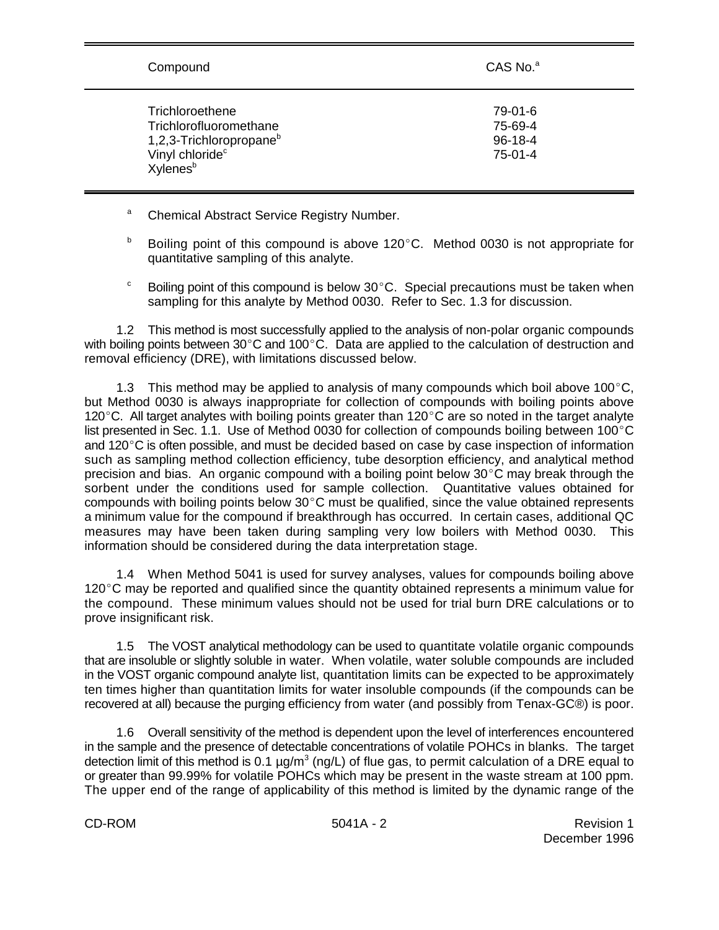| Compound                                                                                                                                | CAS No. <sup>a</sup>                             |
|-----------------------------------------------------------------------------------------------------------------------------------------|--------------------------------------------------|
| Trichloroethene<br>Trichlorofluoromethane<br>1,2,3-Trichloropropane <sup>b</sup><br>Vinyl chloride <sup>c</sup><br>Xylenes <sup>b</sup> | 79-01-6<br>75-69-4<br>$96 - 18 - 4$<br>$75-01-4$ |

- <sup>a</sup> Chemical Abstract Service Registry Number.
- Boiling point of this compound is above 120 $\degree$ C. Method 0030 is not appropriate for b quantitative sampling of this analyte.
- <sup>c</sup> Boiling point of this compound is below  $30^{\circ}$ C. Special precautions must be taken when sampling for this analyte by Method 0030. Refer to Sec. 1.3 for discussion.

1.2 This method is most successfully applied to the analysis of non-polar organic compounds with boiling points between 30 $^{\circ}$ C and 100 $^{\circ}$ C. Data are applied to the calculation of destruction and removal efficiency (DRE), with limitations discussed below.

1.3 This method may be applied to analysis of many compounds which boil above 100 $^{\circ}$ C, but Method 0030 is always inappropriate for collection of compounds with boiling points above 120 $^{\circ}$ C. All target analytes with boiling points greater than 120 $^{\circ}$ C are so noted in the target analyte list presented in Sec. 1.1. Use of Method 0030 for collection of compounds boiling between 100 $^{\circ}$ C and  $120^{\circ}$ C is often possible, and must be decided based on case by case inspection of information such as sampling method collection efficiency, tube desorption efficiency, and analytical method precision and bias. An organic compound with a boiling point below  $30^{\circ}$ C may break through the sorbent under the conditions used for sample collection. Quantitative values obtained for compounds with boiling points below  $30^{\circ}$ C must be qualified, since the value obtained represents a minimum value for the compound if breakthrough has occurred. In certain cases, additional QC measures may have been taken during sampling very low boilers with Method 0030. This information should be considered during the data interpretation stage.

1.4 When Method 5041 is used for survey analyses, values for compounds boiling above  $120^{\circ}$ C may be reported and qualified since the quantity obtained represents a minimum value for the compound. These minimum values should not be used for trial burn DRE calculations or to prove insignificant risk.

1.5 The VOST analytical methodology can be used to quantitate volatile organic compounds that are insoluble or slightly soluble in water. When volatile, water soluble compounds are included in the VOST organic compound analyte list, quantitation limits can be expected to be approximately ten times higher than quantitation limits for water insoluble compounds (if the compounds can be recovered at all) because the purging efficiency from water (and possibly from Tenax-GC®) is poor.

1.6 Overall sensitivity of the method is dependent upon the level of interferences encountered in the sample and the presence of detectable concentrations of volatile POHCs in blanks. The target detection limit of this method is 0.1  $\mu$ g/m<sup>3</sup> (ng/L) of flue gas, to permit calculation of a DRE equal to or greater than 99.99% for volatile POHCs which may be present in the waste stream at 100 ppm. The upper end of the range of applicability of this method is limited by the dynamic range of the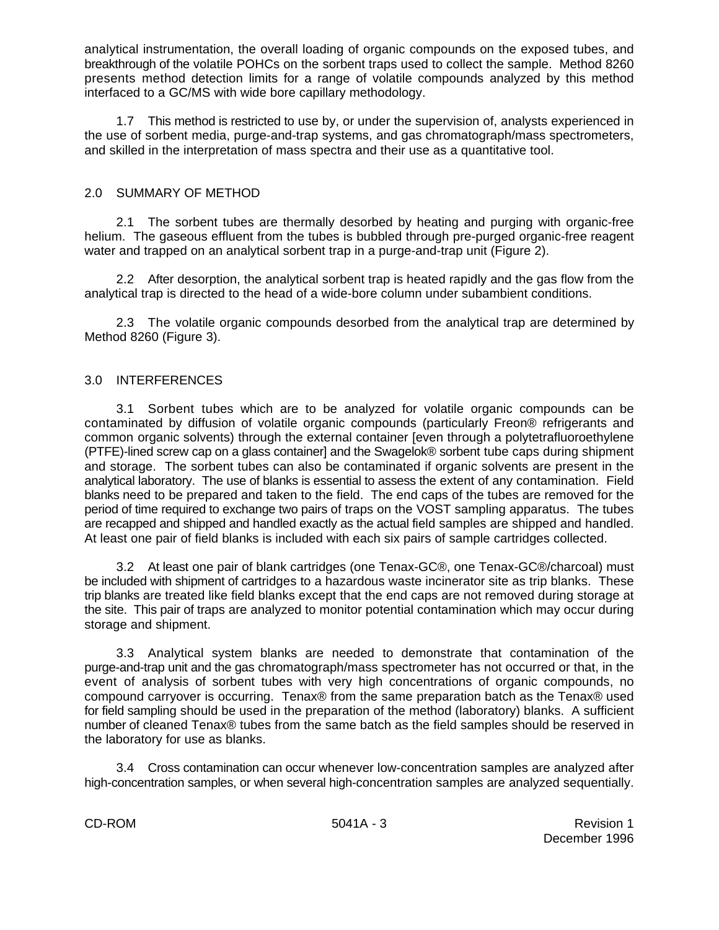analytical instrumentation, the overall loading of organic compounds on the exposed tubes, and breakthrough of the volatile POHCs on the sorbent traps used to collect the sample. Method 8260 presents method detection limits for a range of volatile compounds analyzed by this method interfaced to a GC/MS with wide bore capillary methodology.

1.7 This method is restricted to use by, or under the supervision of, analysts experienced in the use of sorbent media, purge-and-trap systems, and gas chromatograph/mass spectrometers, and skilled in the interpretation of mass spectra and their use as a quantitative tool.

## 2.0 SUMMARY OF METHOD

2.1 The sorbent tubes are thermally desorbed by heating and purging with organic-free helium. The gaseous effluent from the tubes is bubbled through pre-purged organic-free reagent water and trapped on an analytical sorbent trap in a purge-and-trap unit (Figure 2).

2.2 After desorption, the analytical sorbent trap is heated rapidly and the gas flow from the analytical trap is directed to the head of a wide-bore column under subambient conditions.

2.3 The volatile organic compounds desorbed from the analytical trap are determined by Method 8260 (Figure 3).

## 3.0 INTERFERENCES

3.1 Sorbent tubes which are to be analyzed for volatile organic compounds can be contaminated by diffusion of volatile organic compounds (particularly Freon® refrigerants and common organic solvents) through the external container [even through a polytetrafluoroethylene (PTFE)-lined screw cap on a glass container] and the Swagelok® sorbent tube caps during shipment and storage. The sorbent tubes can also be contaminated if organic solvents are present in the analytical laboratory. The use of blanks is essential to assess the extent of any contamination. Field blanks need to be prepared and taken to the field. The end caps of the tubes are removed for the period of time required to exchange two pairs of traps on the VOST sampling apparatus. The tubes are recapped and shipped and handled exactly as the actual field samples are shipped and handled. At least one pair of field blanks is included with each six pairs of sample cartridges collected.

3.2 At least one pair of blank cartridges (one Tenax-GC®, one Tenax-GC®/charcoal) must be included with shipment of cartridges to a hazardous waste incinerator site as trip blanks. These trip blanks are treated like field blanks except that the end caps are not removed during storage at the site. This pair of traps are analyzed to monitor potential contamination which may occur during storage and shipment.

3.3 Analytical system blanks are needed to demonstrate that contamination of the purge-and-trap unit and the gas chromatograph/mass spectrometer has not occurred or that, in the event of analysis of sorbent tubes with very high concentrations of organic compounds, no compound carryover is occurring. Tenax® from the same preparation batch as the Tenax® used for field sampling should be used in the preparation of the method (laboratory) blanks. A sufficient number of cleaned Tenax® tubes from the same batch as the field samples should be reserved in the laboratory for use as blanks.

3.4 Cross contamination can occur whenever low-concentration samples are analyzed after high-concentration samples, or when several high-concentration samples are analyzed sequentially.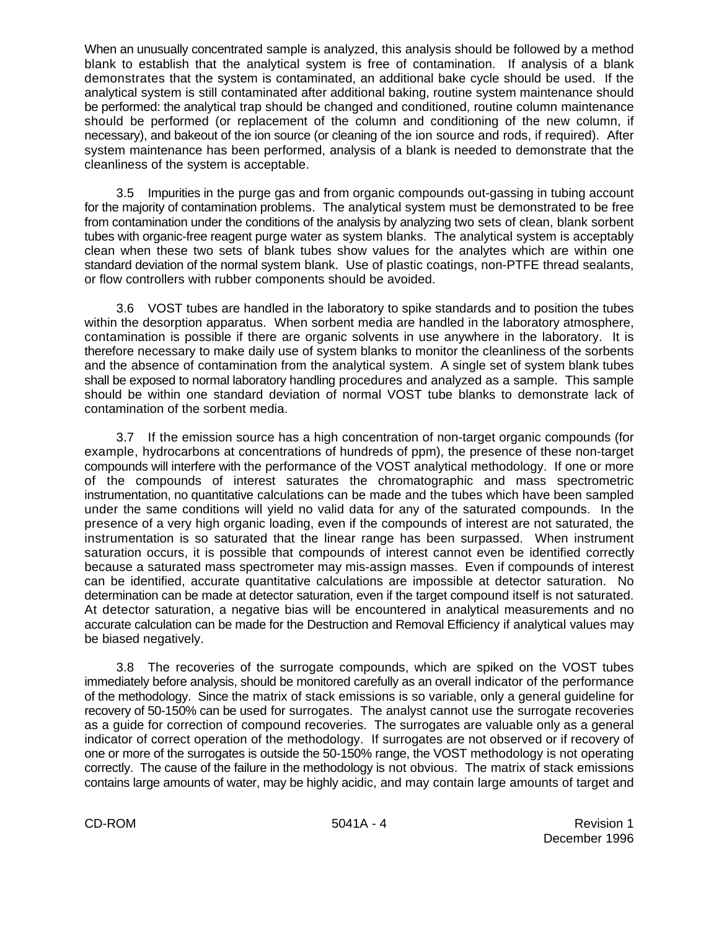When an unusually concentrated sample is analyzed, this analysis should be followed by a method blank to establish that the analytical system is free of contamination. If analysis of a blank demonstrates that the system is contaminated, an additional bake cycle should be used. If the analytical system is still contaminated after additional baking, routine system maintenance should be performed: the analytical trap should be changed and conditioned, routine column maintenance should be performed (or replacement of the column and conditioning of the new column, if necessary), and bakeout of the ion source (or cleaning of the ion source and rods, if required). After system maintenance has been performed, analysis of a blank is needed to demonstrate that the cleanliness of the system is acceptable.

3.5 Impurities in the purge gas and from organic compounds out-gassing in tubing account for the majority of contamination problems. The analytical system must be demonstrated to be free from contamination under the conditions of the analysis by analyzing two sets of clean, blank sorbent tubes with organic-free reagent purge water as system blanks. The analytical system is acceptably clean when these two sets of blank tubes show values for the analytes which are within one standard deviation of the normal system blank. Use of plastic coatings, non-PTFE thread sealants, or flow controllers with rubber components should be avoided.

3.6 VOST tubes are handled in the laboratory to spike standards and to position the tubes within the desorption apparatus. When sorbent media are handled in the laboratory atmosphere, contamination is possible if there are organic solvents in use anywhere in the laboratory. It is therefore necessary to make daily use of system blanks to monitor the cleanliness of the sorbents and the absence of contamination from the analytical system. A single set of system blank tubes shall be exposed to normal laboratory handling procedures and analyzed as a sample. This sample should be within one standard deviation of normal VOST tube blanks to demonstrate lack of contamination of the sorbent media.

3.7 If the emission source has a high concentration of non-target organic compounds (for example, hydrocarbons at concentrations of hundreds of ppm), the presence of these non-target compounds will interfere with the performance of the VOST analytical methodology. If one or more of the compounds of interest saturates the chromatographic and mass spectrometric instrumentation, no quantitative calculations can be made and the tubes which have been sampled under the same conditions will yield no valid data for any of the saturated compounds. In the presence of a very high organic loading, even if the compounds of interest are not saturated, the instrumentation is so saturated that the linear range has been surpassed. When instrument saturation occurs, it is possible that compounds of interest cannot even be identified correctly because a saturated mass spectrometer may mis-assign masses. Even if compounds of interest can be identified, accurate quantitative calculations are impossible at detector saturation. No determination can be made at detector saturation, even if the target compound itself is not saturated. At detector saturation, a negative bias will be encountered in analytical measurements and no accurate calculation can be made for the Destruction and Removal Efficiency if analytical values may be biased negatively.

3.8 The recoveries of the surrogate compounds, which are spiked on the VOST tubes immediately before analysis, should be monitored carefully as an overall indicator of the performance of the methodology. Since the matrix of stack emissions is so variable, only a general guideline for recovery of 50-150% can be used for surrogates. The analyst cannot use the surrogate recoveries as a guide for correction of compound recoveries. The surrogates are valuable only as a general indicator of correct operation of the methodology. If surrogates are not observed or if recovery of one or more of the surrogates is outside the 50-150% range, the VOST methodology is not operating correctly. The cause of the failure in the methodology is not obvious. The matrix of stack emissions contains large amounts of water, may be highly acidic, and may contain large amounts of target and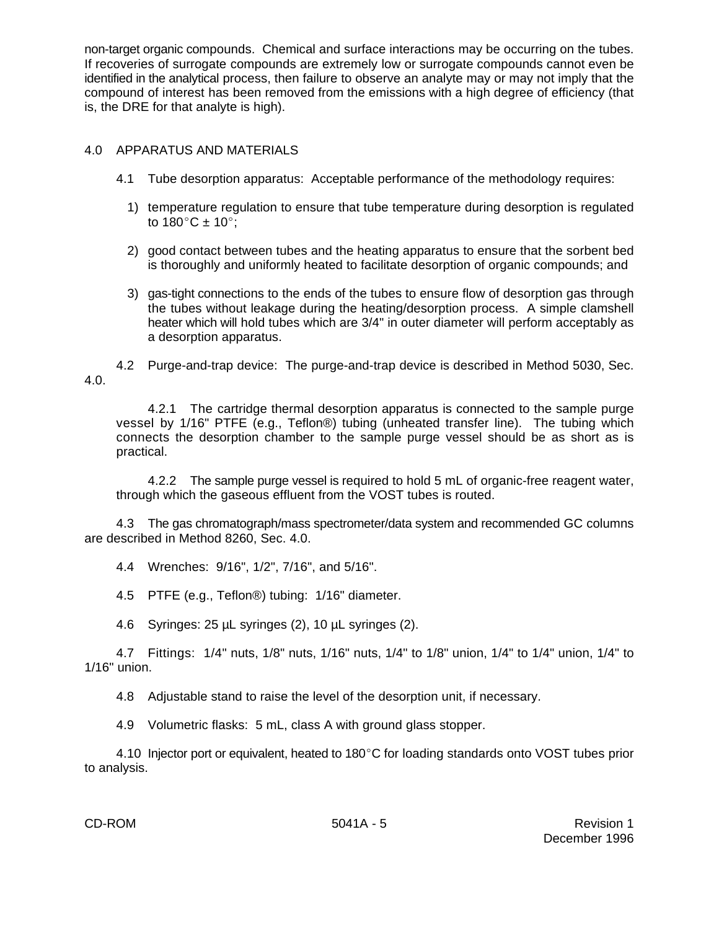non-target organic compounds. Chemical and surface interactions may be occurring on the tubes. If recoveries of surrogate compounds are extremely low or surrogate compounds cannot even be identified in the analytical process, then failure to observe an analyte may or may not imply that the compound of interest has been removed from the emissions with a high degree of efficiency (that is, the DRE for that analyte is high).

## 4.0 APPARATUS AND MATERIALS

- 4.1 Tube desorption apparatus: Acceptable performance of the methodology requires:
	- 1) temperature regulation to ensure that tube temperature during desorption is regulated to  $180^{\circ}$ C ±  $10^{\circ}$ ;
	- 2) good contact between tubes and the heating apparatus to ensure that the sorbent bed is thoroughly and uniformly heated to facilitate desorption of organic compounds; and
	- 3) gas-tight connections to the ends of the tubes to ensure flow of desorption gas through the tubes without leakage during the heating/desorption process. A simple clamshell heater which will hold tubes which are 3/4" in outer diameter will perform acceptably as a desorption apparatus.

4.2 Purge-and-trap device: The purge-and-trap device is described in Method 5030, Sec. 4.0.

4.2.1 The cartridge thermal desorption apparatus is connected to the sample purge vessel by 1/16" PTFE (e.g., Teflon®) tubing (unheated transfer line). The tubing which connects the desorption chamber to the sample purge vessel should be as short as is practical.

4.2.2 The sample purge vessel is required to hold 5 mL of organic-free reagent water, through which the gaseous effluent from the VOST tubes is routed.

4.3 The gas chromatograph/mass spectrometer/data system and recommended GC columns are described in Method 8260, Sec. 4.0.

4.4 Wrenches: 9/16", 1/2", 7/16", and 5/16".

4.5 PTFE (e.g., Teflon®) tubing: 1/16" diameter.

4.6 Syringes: 25 µL syringes (2), 10 µL syringes (2).

4.7 Fittings: 1/4" nuts, 1/8" nuts, 1/16" nuts, 1/4" to 1/8" union, 1/4" to 1/4" union, 1/4" to 1/16" union.

4.8 Adjustable stand to raise the level of the desorption unit, if necessary.

4.9 Volumetric flasks: 5 mL, class A with ground glass stopper.

4.10 Injector port or equivalent, heated to  $180^{\circ}$ C for loading standards onto VOST tubes prior to analysis.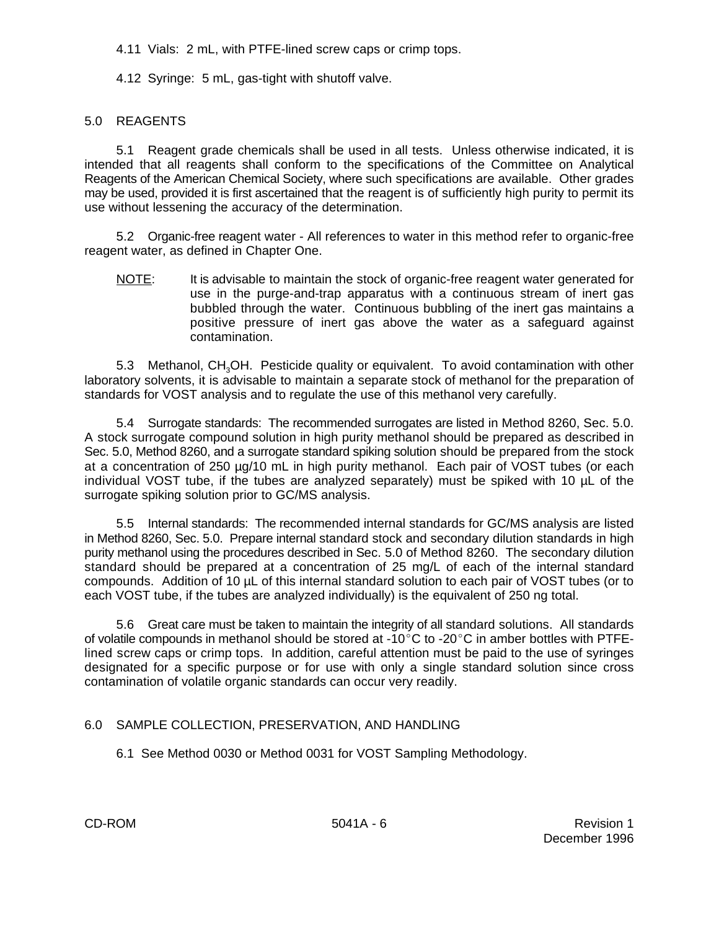4.11 Vials: 2 mL, with PTFE-lined screw caps or crimp tops.

4.12 Syringe: 5 mL, gas-tight with shutoff valve.

## 5.0 REAGENTS

5.1 Reagent grade chemicals shall be used in all tests. Unless otherwise indicated, it is intended that all reagents shall conform to the specifications of the Committee on Analytical Reagents of the American Chemical Society, where such specifications are available. Other grades may be used, provided it is first ascertained that the reagent is of sufficiently high purity to permit its use without lessening the accuracy of the determination.

5.2 Organic-free reagent water - All references to water in this method refer to organic-free reagent water, as defined in Chapter One.

NOTE: It is advisable to maintain the stock of organic-free reagent water generated for use in the purge-and-trap apparatus with a continuous stream of inert gas bubbled through the water. Continuous bubbling of the inert gas maintains a positive pressure of inert gas above the water as a safeguard against contamination.

5.3 Methanol, CH<sub>3</sub>OH. Pesticide quality or equivalent. To avoid contamination with other laboratory solvents, it is advisable to maintain a separate stock of methanol for the preparation of standards for VOST analysis and to regulate the use of this methanol very carefully.

5.4 Surrogate standards: The recommended surrogates are listed in Method 8260, Sec. 5.0. A stock surrogate compound solution in high purity methanol should be prepared as described in Sec. 5.0, Method 8260, and a surrogate standard spiking solution should be prepared from the stock at a concentration of 250 µg/10 mL in high purity methanol. Each pair of VOST tubes (or each individual VOST tube, if the tubes are analyzed separately) must be spiked with 10 µL of the surrogate spiking solution prior to GC/MS analysis.

5.5 Internal standards: The recommended internal standards for GC/MS analysis are listed in Method 8260, Sec. 5.0. Prepare internal standard stock and secondary dilution standards in high purity methanol using the procedures described in Sec. 5.0 of Method 8260. The secondary dilution standard should be prepared at a concentration of 25 mg/L of each of the internal standard compounds. Addition of 10 µL of this internal standard solution to each pair of VOST tubes (or to each VOST tube, if the tubes are analyzed individually) is the equivalent of 250 ng total.

5.6 Great care must be taken to maintain the integrity of all standard solutions. All standards of volatile compounds in methanol should be stored at -10 $^{\circ}$ C to -20 $^{\circ}$ C in amber bottles with PTFElined screw caps or crimp tops. In addition, careful attention must be paid to the use of syringes designated for a specific purpose or for use with only a single standard solution since cross contamination of volatile organic standards can occur very readily.

## 6.0 SAMPLE COLLECTION, PRESERVATION, AND HANDLING

6.1 See Method 0030 or Method 0031 for VOST Sampling Methodology.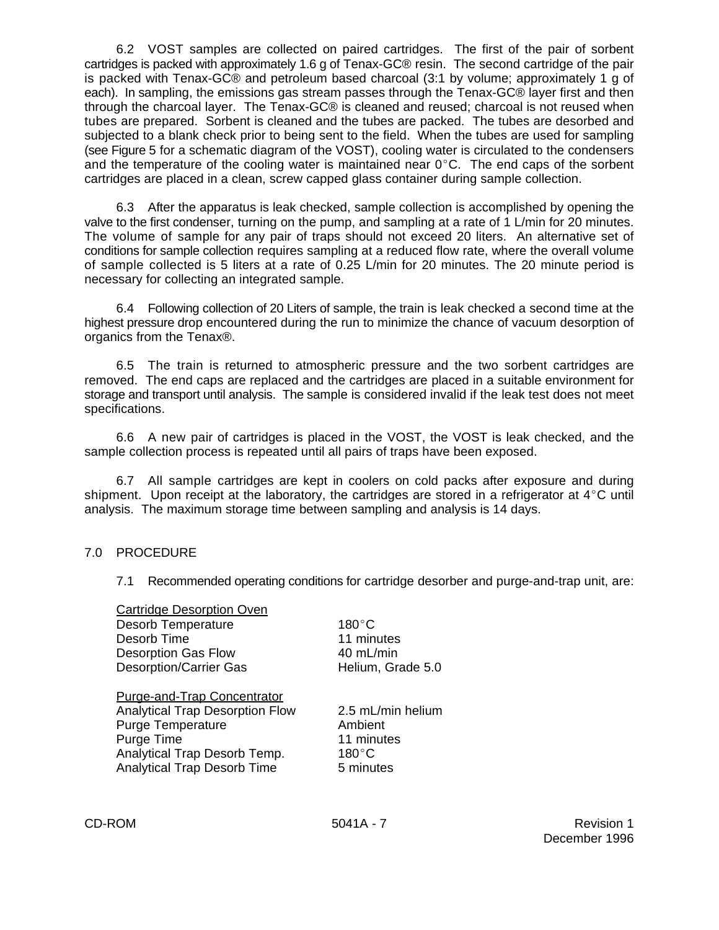6.2 VOST samples are collected on paired cartridges. The first of the pair of sorbent cartridges is packed with approximately 1.6 g of Tenax-GC® resin. The second cartridge of the pair is packed with Tenax-GC® and petroleum based charcoal (3:1 by volume; approximately 1 g of each). In sampling, the emissions gas stream passes through the Tenax-GC® layer first and then through the charcoal layer. The Tenax-GC® is cleaned and reused; charcoal is not reused when tubes are prepared. Sorbent is cleaned and the tubes are packed. The tubes are desorbed and subjected to a blank check prior to being sent to the field. When the tubes are used for sampling (see Figure 5 for a schematic diagram of the VOST), cooling water is circulated to the condensers and the temperature of the cooling water is maintained near  $0^{\circ}$ C. The end caps of the sorbent cartridges are placed in a clean, screw capped glass container during sample collection.

6.3 After the apparatus is leak checked, sample collection is accomplished by opening the valve to the first condenser, turning on the pump, and sampling at a rate of 1 L/min for 20 minutes. The volume of sample for any pair of traps should not exceed 20 liters. An alternative set of conditions for sample collection requires sampling at a reduced flow rate, where the overall volume of sample collected is 5 liters at a rate of 0.25 L/min for 20 minutes. The 20 minute period is necessary for collecting an integrated sample.

6.4 Following collection of 20 Liters of sample, the train is leak checked a second time at the highest pressure drop encountered during the run to minimize the chance of vacuum desorption of organics from the Tenax®.

6.5 The train is returned to atmospheric pressure and the two sorbent cartridges are removed. The end caps are replaced and the cartridges are placed in a suitable environment for storage and transport until analysis. The sample is considered invalid if the leak test does not meet specifications.

6.6 A new pair of cartridges is placed in the VOST, the VOST is leak checked, and the sample collection process is repeated until all pairs of traps have been exposed.

6.7 All sample cartridges are kept in coolers on cold packs after exposure and during shipment. Upon receipt at the laboratory, the cartridges are stored in a refrigerator at  $4^{\circ}$ C until analysis. The maximum storage time between sampling and analysis is 14 days.

## 7.0 PROCEDURE

7.1 Recommended operating conditions for cartridge desorber and purge-and-trap unit, are:

| <b>Cartridge Desorption Oven</b>       |                   |
|----------------------------------------|-------------------|
| <b>Desorb Temperature</b>              | $180^{\circ}$ C   |
| Desorb Time                            | 11 minutes        |
| <b>Desorption Gas Flow</b>             | 40 mL/min         |
| <b>Desorption/Carrier Gas</b>          | Helium, Grade 5.0 |
| <b>Purge-and-Trap Concentrator</b>     |                   |
| <b>Analytical Trap Desorption Flow</b> | 2.5 mL/min helium |
| <b>Purge Temperature</b>               | Ambient           |
| Purge Time                             | 11 minutes        |
| Analytical Trap Desorb Temp.           | $180^{\circ}$ C   |
| <b>Analytical Trap Desorb Time</b>     | 5 minutes         |
|                                        |                   |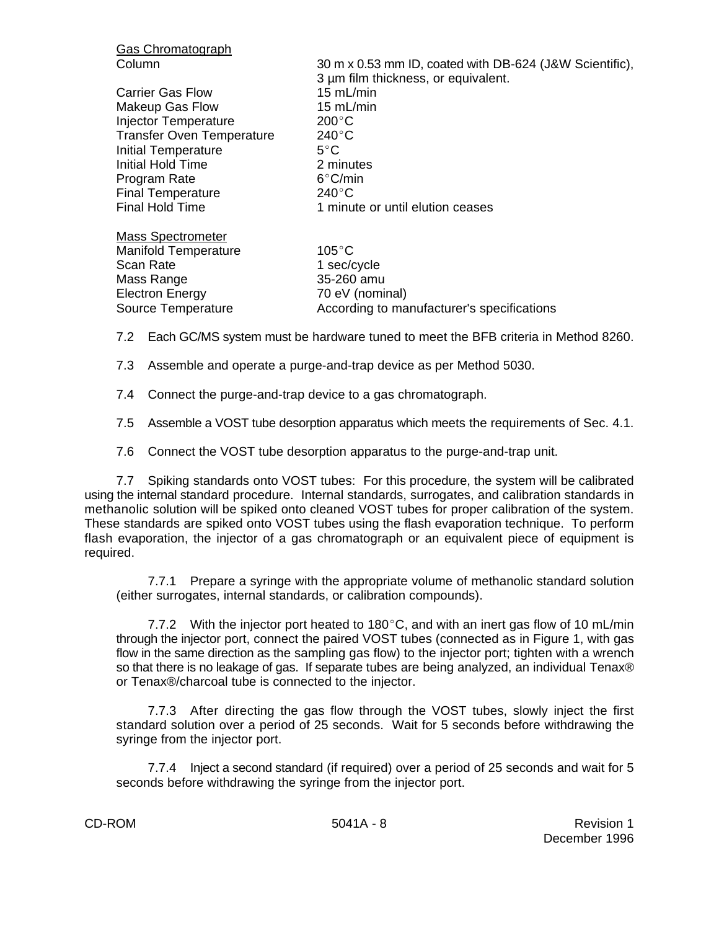| <b>Gas Chromatograph</b>         |                                                         |
|----------------------------------|---------------------------------------------------------|
| Column                           | 30 m x 0.53 mm ID, coated with DB-624 (J&W Scientific), |
|                                  | 3 um film thickness, or equivalent.                     |
| <b>Carrier Gas Flow</b>          | 15 $mL/min$                                             |
| <b>Makeup Gas Flow</b>           | 15 $mL/min$                                             |
| Injector Temperature             | $200^{\circ}$ C                                         |
| <b>Transfer Oven Temperature</b> | $240^{\circ}$ C                                         |
| Initial Temperature              | $5^{\circ}$ C                                           |
| Initial Hold Time                | 2 minutes                                               |
| Program Rate                     | $6^{\circ}$ C/min                                       |
| <b>Final Temperature</b>         | $240^{\circ}$ C                                         |
| <b>Final Hold Time</b>           | 1 minute or until elution ceases                        |
| <b>Mass Spectrometer</b>         |                                                         |
| <b>Manifold Temperature</b>      | $105^{\circ}$ C                                         |
| Scan Rate                        | 1 sec/cycle                                             |
| Mass Range                       | 35-260 amu                                              |
| <b>Electron Energy</b>           | 70 eV (nominal)                                         |
| Source Temperature               | According to manufacturer's specifications              |
|                                  |                                                         |

- 7.2 Each GC/MS system must be hardware tuned to meet the BFB criteria in Method 8260.
- 7.3 Assemble and operate a purge-and-trap device as per Method 5030.
- 7.4 Connect the purge-and-trap device to a gas chromatograph.
- 7.5 Assemble a VOST tube desorption apparatus which meets the requirements of Sec. 4.1.
- 7.6 Connect the VOST tube desorption apparatus to the purge-and-trap unit.

7.7 Spiking standards onto VOST tubes: For this procedure, the system will be calibrated using the internal standard procedure. Internal standards, surrogates, and calibration standards in methanolic solution will be spiked onto cleaned VOST tubes for proper calibration of the system. These standards are spiked onto VOST tubes using the flash evaporation technique. To perform flash evaporation, the injector of a gas chromatograph or an equivalent piece of equipment is required.

7.7.1 Prepare a syringe with the appropriate volume of methanolic standard solution (either surrogates, internal standards, or calibration compounds).

7.7.2 With the injector port heated to 180 $^{\circ}$ C, and with an inert gas flow of 10 mL/min through the injector port, connect the paired VOST tubes (connected as in Figure 1, with gas flow in the same direction as the sampling gas flow) to the injector port; tighten with a wrench so that there is no leakage of gas. If separate tubes are being analyzed, an individual Tenax® or Tenax®/charcoal tube is connected to the injector.

7.7.3 After directing the gas flow through the VOST tubes, slowly inject the first standard solution over a period of 25 seconds. Wait for 5 seconds before withdrawing the syringe from the injector port.

7.7.4 Inject a second standard (if required) over a period of 25 seconds and wait for 5 seconds before withdrawing the syringe from the injector port.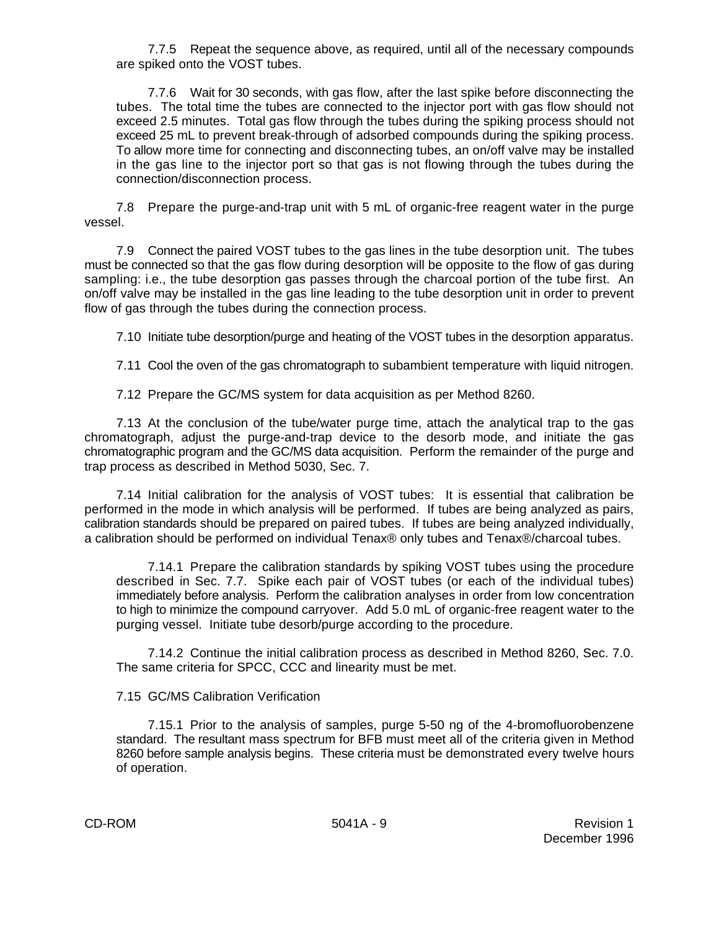7.7.5 Repeat the sequence above, as required, until all of the necessary compounds are spiked onto the VOST tubes.

7.7.6 Wait for 30 seconds, with gas flow, after the last spike before disconnecting the tubes. The total time the tubes are connected to the injector port with gas flow should not exceed 2.5 minutes. Total gas flow through the tubes during the spiking process should not exceed 25 mL to prevent break-through of adsorbed compounds during the spiking process. To allow more time for connecting and disconnecting tubes, an on/off valve may be installed in the gas line to the injector port so that gas is not flowing through the tubes during the connection/disconnection process.

7.8 Prepare the purge-and-trap unit with 5 mL of organic-free reagent water in the purge vessel.

7.9 Connect the paired VOST tubes to the gas lines in the tube desorption unit. The tubes must be connected so that the gas flow during desorption will be opposite to the flow of gas during sampling: i.e., the tube desorption gas passes through the charcoal portion of the tube first. An on/off valve may be installed in the gas line leading to the tube desorption unit in order to prevent flow of gas through the tubes during the connection process.

7.10 Initiate tube desorption/purge and heating of the VOST tubes in the desorption apparatus.

7.11 Cool the oven of the gas chromatograph to subambient temperature with liquid nitrogen.

7.12 Prepare the GC/MS system for data acquisition as per Method 8260.

7.13 At the conclusion of the tube/water purge time, attach the analytical trap to the gas chromatograph, adjust the purge-and-trap device to the desorb mode, and initiate the gas chromatographic program and the GC/MS data acquisition. Perform the remainder of the purge and trap process as described in Method 5030, Sec. 7.

7.14 Initial calibration for the analysis of VOST tubes: It is essential that calibration be performed in the mode in which analysis will be performed. If tubes are being analyzed as pairs, calibration standards should be prepared on paired tubes. If tubes are being analyzed individually, a calibration should be performed on individual Tenax® only tubes and Tenax®/charcoal tubes.

7.14.1 Prepare the calibration standards by spiking VOST tubes using the procedure described in Sec. 7.7. Spike each pair of VOST tubes (or each of the individual tubes) immediately before analysis. Perform the calibration analyses in order from low concentration to high to minimize the compound carryover. Add 5.0 mL of organic-free reagent water to the purging vessel. Initiate tube desorb/purge according to the procedure.

7.14.2 Continue the initial calibration process as described in Method 8260, Sec. 7.0. The same criteria for SPCC, CCC and linearity must be met.

## 7.15 GC/MS Calibration Verification

7.15.1 Prior to the analysis of samples, purge 5-50 ng of the 4-bromofluorobenzene standard. The resultant mass spectrum for BFB must meet all of the criteria given in Method 8260 before sample analysis begins. These criteria must be demonstrated every twelve hours of operation.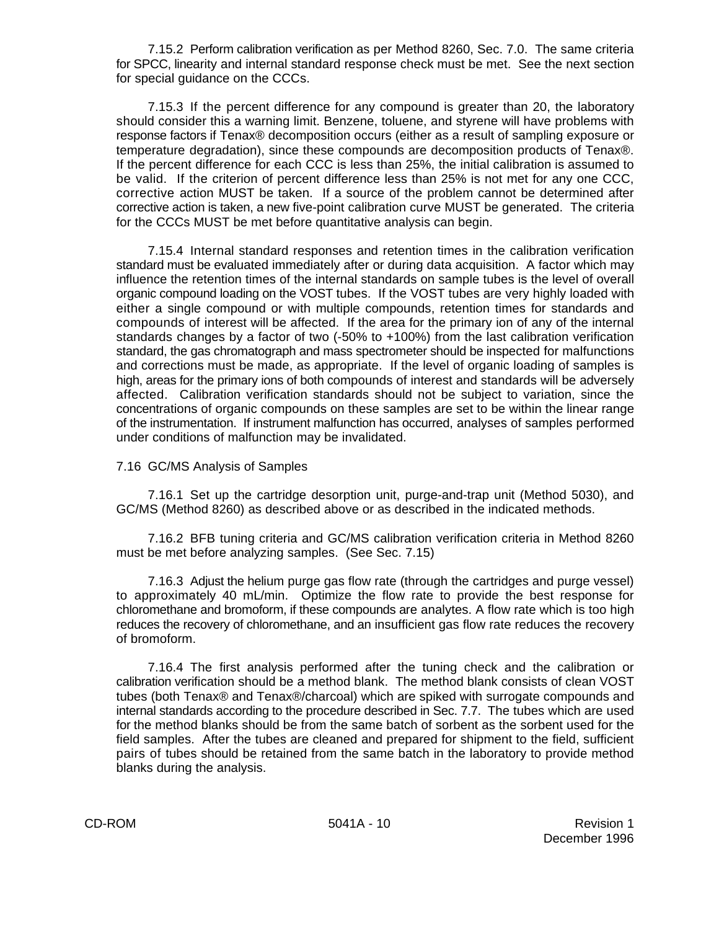7.15.2 Perform calibration verification as per Method 8260, Sec. 7.0. The same criteria for SPCC, linearity and internal standard response check must be met. See the next section for special guidance on the CCCs.

7.15.3 If the percent difference for any compound is greater than 20, the laboratory should consider this a warning limit. Benzene, toluene, and styrene will have problems with response factors if Tenax® decomposition occurs (either as a result of sampling exposure or temperature degradation), since these compounds are decomposition products of Tenax®. If the percent difference for each CCC is less than 25%, the initial calibration is assumed to be valid. If the criterion of percent difference less than 25% is not met for any one CCC, corrective action MUST be taken. If a source of the problem cannot be determined after corrective action is taken, a new five-point calibration curve MUST be generated. The criteria for the CCCs MUST be met before quantitative analysis can begin.

7.15.4 Internal standard responses and retention times in the calibration verification standard must be evaluated immediately after or during data acquisition. A factor which may influence the retention times of the internal standards on sample tubes is the level of overall organic compound loading on the VOST tubes. If the VOST tubes are very highly loaded with either a single compound or with multiple compounds, retention times for standards and compounds of interest will be affected. If the area for the primary ion of any of the internal standards changes by a factor of two (-50% to +100%) from the last calibration verification standard, the gas chromatograph and mass spectrometer should be inspected for malfunctions and corrections must be made, as appropriate. If the level of organic loading of samples is high, areas for the primary ions of both compounds of interest and standards will be adversely affected. Calibration verification standards should not be subject to variation, since the concentrations of organic compounds on these samples are set to be within the linear range of the instrumentation. If instrument malfunction has occurred, analyses of samples performed under conditions of malfunction may be invalidated.

#### 7.16 GC/MS Analysis of Samples

7.16.1 Set up the cartridge desorption unit, purge-and-trap unit (Method 5030), and GC/MS (Method 8260) as described above or as described in the indicated methods.

7.16.2 BFB tuning criteria and GC/MS calibration verification criteria in Method 8260 must be met before analyzing samples. (See Sec. 7.15)

7.16.3 Adjust the helium purge gas flow rate (through the cartridges and purge vessel) to approximately 40 mL/min. Optimize the flow rate to provide the best response for chloromethane and bromoform, if these compounds are analytes. A flow rate which is too high reduces the recovery of chloromethane, and an insufficient gas flow rate reduces the recovery of bromoform.

7.16.4 The first analysis performed after the tuning check and the calibration or calibration verification should be a method blank. The method blank consists of clean VOST tubes (both Tenax® and Tenax®/charcoal) which are spiked with surrogate compounds and internal standards according to the procedure described in Sec. 7.7. The tubes which are used for the method blanks should be from the same batch of sorbent as the sorbent used for the field samples. After the tubes are cleaned and prepared for shipment to the field, sufficient pairs of tubes should be retained from the same batch in the laboratory to provide method blanks during the analysis.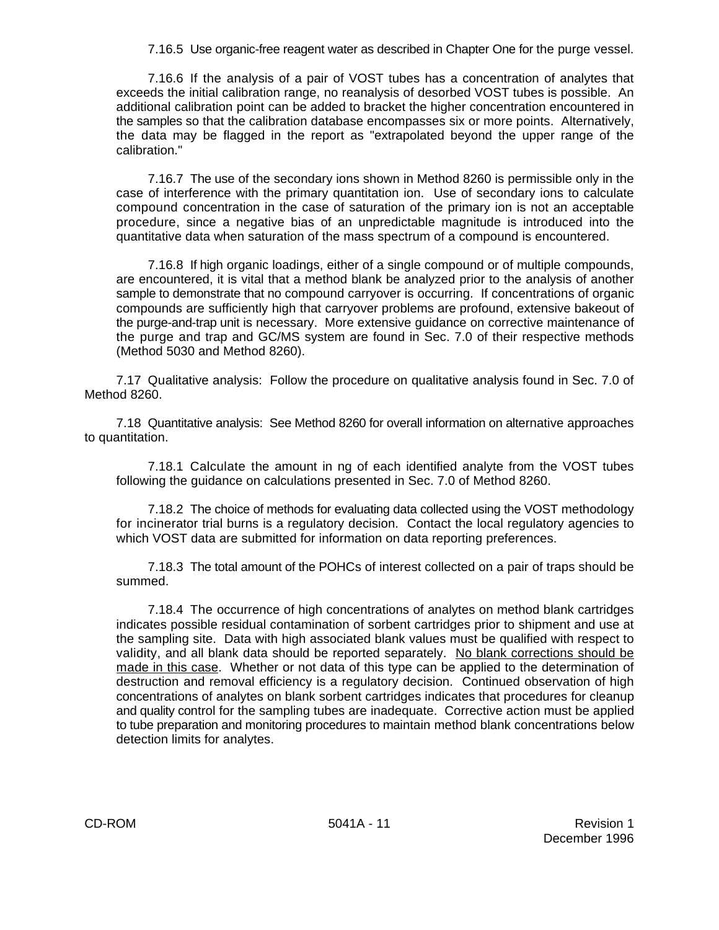7.16.5 Use organic-free reagent water as described in Chapter One for the purge vessel.

7.16.6 If the analysis of a pair of VOST tubes has a concentration of analytes that exceeds the initial calibration range, no reanalysis of desorbed VOST tubes is possible. An additional calibration point can be added to bracket the higher concentration encountered in the samples so that the calibration database encompasses six or more points. Alternatively, the data may be flagged in the report as "extrapolated beyond the upper range of the calibration."

7.16.7 The use of the secondary ions shown in Method 8260 is permissible only in the case of interference with the primary quantitation ion. Use of secondary ions to calculate compound concentration in the case of saturation of the primary ion is not an acceptable procedure, since a negative bias of an unpredictable magnitude is introduced into the quantitative data when saturation of the mass spectrum of a compound is encountered.

7.16.8 If high organic loadings, either of a single compound or of multiple compounds, are encountered, it is vital that a method blank be analyzed prior to the analysis of another sample to demonstrate that no compound carryover is occurring. If concentrations of organic compounds are sufficiently high that carryover problems are profound, extensive bakeout of the purge-and-trap unit is necessary. More extensive guidance on corrective maintenance of the purge and trap and GC/MS system are found in Sec. 7.0 of their respective methods (Method 5030 and Method 8260).

7.17 Qualitative analysis: Follow the procedure on qualitative analysis found in Sec. 7.0 of Method 8260.

7.18 Quantitative analysis: See Method 8260 for overall information on alternative approaches to quantitation.

7.18.1 Calculate the amount in ng of each identified analyte from the VOST tubes following the guidance on calculations presented in Sec. 7.0 of Method 8260.

7.18.2 The choice of methods for evaluating data collected using the VOST methodology for incinerator trial burns is a regulatory decision. Contact the local regulatory agencies to which VOST data are submitted for information on data reporting preferences.

7.18.3 The total amount of the POHCs of interest collected on a pair of traps should be summed.

7.18.4 The occurrence of high concentrations of analytes on method blank cartridges indicates possible residual contamination of sorbent cartridges prior to shipment and use at the sampling site. Data with high associated blank values must be qualified with respect to validity, and all blank data should be reported separately. No blank corrections should be made in this case. Whether or not data of this type can be applied to the determination of destruction and removal efficiency is a regulatory decision. Continued observation of high concentrations of analytes on blank sorbent cartridges indicates that procedures for cleanup and quality control for the sampling tubes are inadequate. Corrective action must be applied to tube preparation and monitoring procedures to maintain method blank concentrations below detection limits for analytes.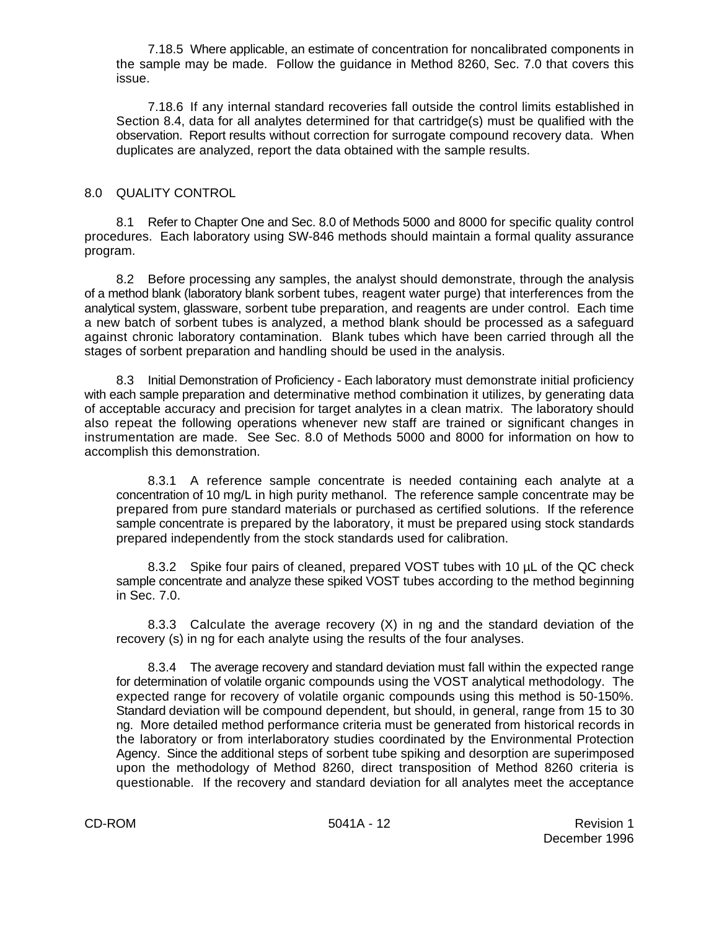7.18.5 Where applicable, an estimate of concentration for noncalibrated components in the sample may be made. Follow the guidance in Method 8260, Sec. 7.0 that covers this issue.

7.18.6 If any internal standard recoveries fall outside the control limits established in Section 8.4, data for all analytes determined for that cartridge(s) must be qualified with the observation. Report results without correction for surrogate compound recovery data. When duplicates are analyzed, report the data obtained with the sample results.

## 8.0 QUALITY CONTROL

8.1 Refer to Chapter One and Sec. 8.0 of Methods 5000 and 8000 for specific quality control procedures. Each laboratory using SW-846 methods should maintain a formal quality assurance program.

8.2 Before processing any samples, the analyst should demonstrate, through the analysis of a method blank (laboratory blank sorbent tubes, reagent water purge) that interferences from the analytical system, glassware, sorbent tube preparation, and reagents are under control. Each time a new batch of sorbent tubes is analyzed, a method blank should be processed as a safeguard against chronic laboratory contamination. Blank tubes which have been carried through all the stages of sorbent preparation and handling should be used in the analysis.

8.3 Initial Demonstration of Proficiency - Each laboratory must demonstrate initial proficiency with each sample preparation and determinative method combination it utilizes, by generating data of acceptable accuracy and precision for target analytes in a clean matrix. The laboratory should also repeat the following operations whenever new staff are trained or significant changes in instrumentation are made. See Sec. 8.0 of Methods 5000 and 8000 for information on how to accomplish this demonstration.

8.3.1 A reference sample concentrate is needed containing each analyte at a concentration of 10 mg/L in high purity methanol. The reference sample concentrate may be prepared from pure standard materials or purchased as certified solutions. If the reference sample concentrate is prepared by the laboratory, it must be prepared using stock standards prepared independently from the stock standards used for calibration.

8.3.2 Spike four pairs of cleaned, prepared VOST tubes with 10 µL of the QC check sample concentrate and analyze these spiked VOST tubes according to the method beginning in Sec. 7.0.

8.3.3 Calculate the average recovery (X) in ng and the standard deviation of the recovery (s) in ng for each analyte using the results of the four analyses.

8.3.4 The average recovery and standard deviation must fall within the expected range for determination of volatile organic compounds using the VOST analytical methodology. The expected range for recovery of volatile organic compounds using this method is 50-150%. Standard deviation will be compound dependent, but should, in general, range from 15 to 30 ng. More detailed method performance criteria must be generated from historical records in the laboratory or from interlaboratory studies coordinated by the Environmental Protection Agency. Since the additional steps of sorbent tube spiking and desorption are superimposed upon the methodology of Method 8260, direct transposition of Method 8260 criteria is questionable. If the recovery and standard deviation for all analytes meet the acceptance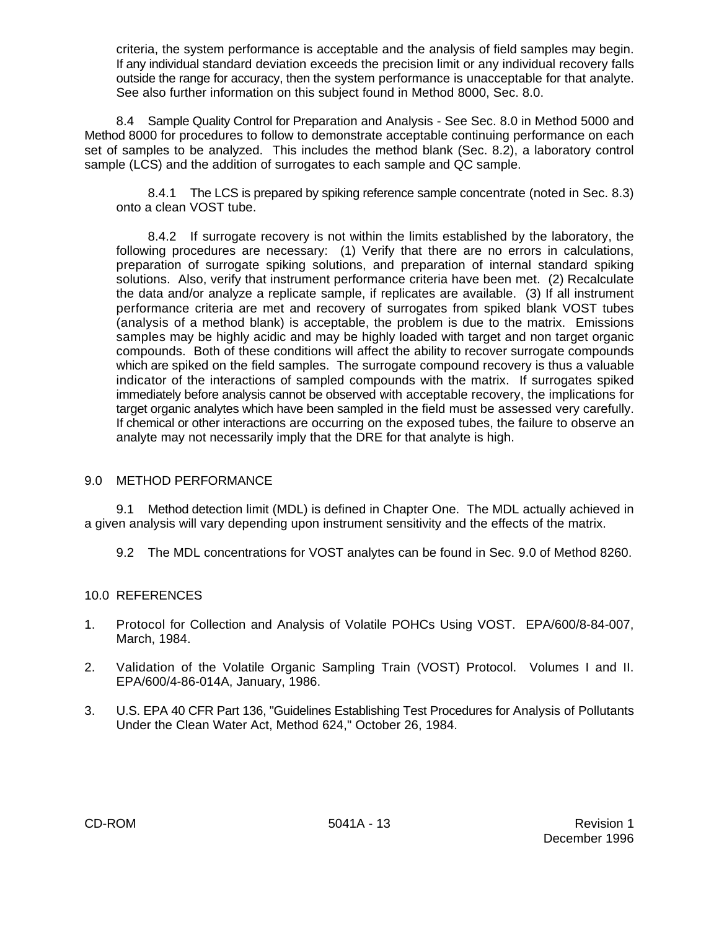criteria, the system performance is acceptable and the analysis of field samples may begin. If any individual standard deviation exceeds the precision limit or any individual recovery falls outside the range for accuracy, then the system performance is unacceptable for that analyte. See also further information on this subject found in Method 8000, Sec. 8.0.

8.4 Sample Quality Control for Preparation and Analysis - See Sec. 8.0 in Method 5000 and Method 8000 for procedures to follow to demonstrate acceptable continuing performance on each set of samples to be analyzed. This includes the method blank (Sec. 8.2), a laboratory control sample (LCS) and the addition of surrogates to each sample and QC sample.

8.4.1 The LCS is prepared by spiking reference sample concentrate (noted in Sec. 8.3) onto a clean VOST tube.

8.4.2 If surrogate recovery is not within the limits established by the laboratory, the following procedures are necessary: (1) Verify that there are no errors in calculations, preparation of surrogate spiking solutions, and preparation of internal standard spiking solutions. Also, verify that instrument performance criteria have been met. (2) Recalculate the data and/or analyze a replicate sample, if replicates are available. (3) If all instrument performance criteria are met and recovery of surrogates from spiked blank VOST tubes (analysis of a method blank) is acceptable, the problem is due to the matrix. Emissions samples may be highly acidic and may be highly loaded with target and non target organic compounds. Both of these conditions will affect the ability to recover surrogate compounds which are spiked on the field samples. The surrogate compound recovery is thus a valuable indicator of the interactions of sampled compounds with the matrix. If surrogates spiked immediately before analysis cannot be observed with acceptable recovery, the implications for target organic analytes which have been sampled in the field must be assessed very carefully. If chemical or other interactions are occurring on the exposed tubes, the failure to observe an analyte may not necessarily imply that the DRE for that analyte is high.

## 9.0 METHOD PERFORMANCE

9.1 Method detection limit (MDL) is defined in Chapter One. The MDL actually achieved in a given analysis will vary depending upon instrument sensitivity and the effects of the matrix.

9.2 The MDL concentrations for VOST analytes can be found in Sec. 9.0 of Method 8260.

## 10.0 REFERENCES

- 1. Protocol for Collection and Analysis of Volatile POHCs Using VOST. EPA/600/8-84-007, March, 1984.
- 2. Validation of the Volatile Organic Sampling Train (VOST) Protocol. Volumes I and II. EPA/600/4-86-014A, January, 1986.
- 3. U.S. EPA 40 CFR Part 136, "Guidelines Establishing Test Procedures for Analysis of Pollutants Under the Clean Water Act, Method 624," October 26, 1984.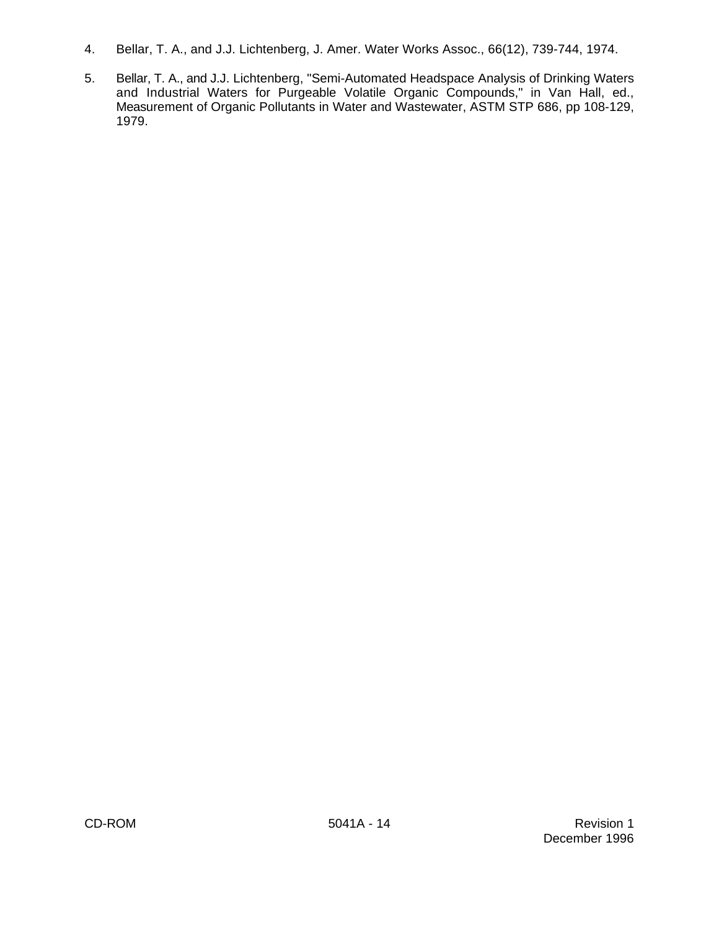- 4. Bellar, T. A., and J.J. Lichtenberg, J. Amer. Water Works Assoc., 66(12), 739-744, 1974.
- 5. Bellar, T. A., and J.J. Lichtenberg, "Semi-Automated Headspace Analysis of Drinking Waters and Industrial Waters for Purgeable Volatile Organic Compounds," in Van Hall, ed., Measurement of Organic Pollutants in Water and Wastewater, ASTM STP 686, pp 108-129, 1979.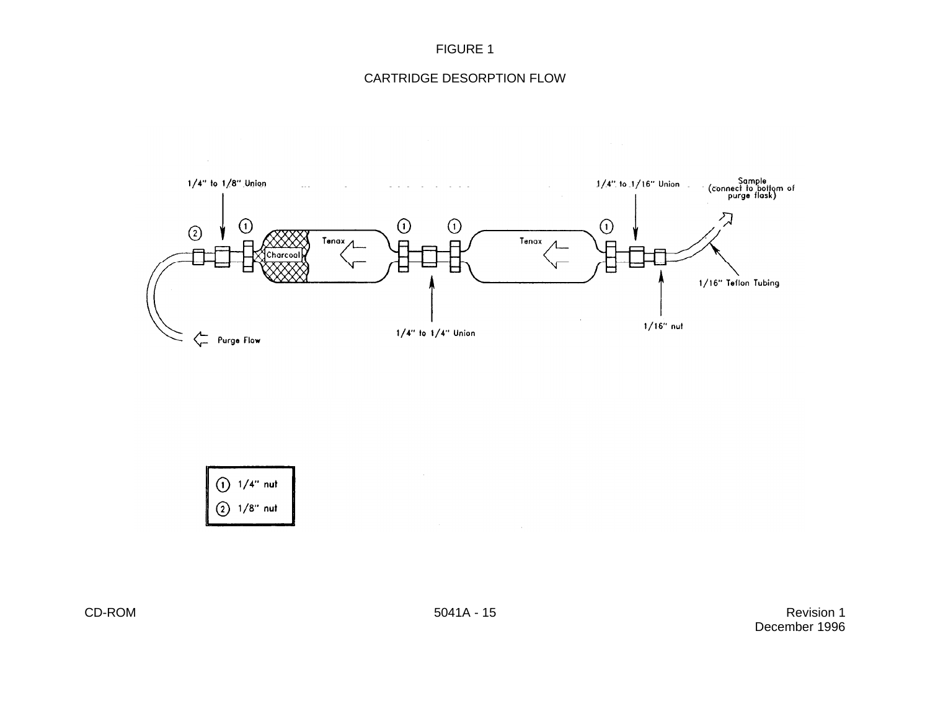## CARTRIDGE DESORPTION FLOW





CD-ROM Revision 1 December 1996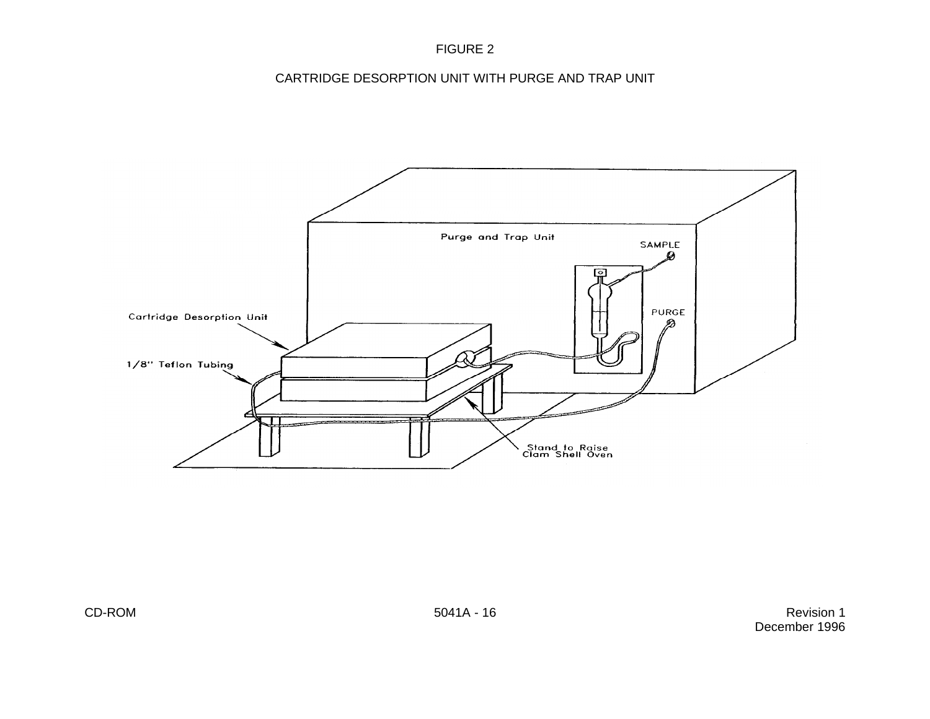CARTRIDGE DESORPTION UNIT WITH PURGE AND TRAP UNIT



CD-ROM Revision 1 December 1996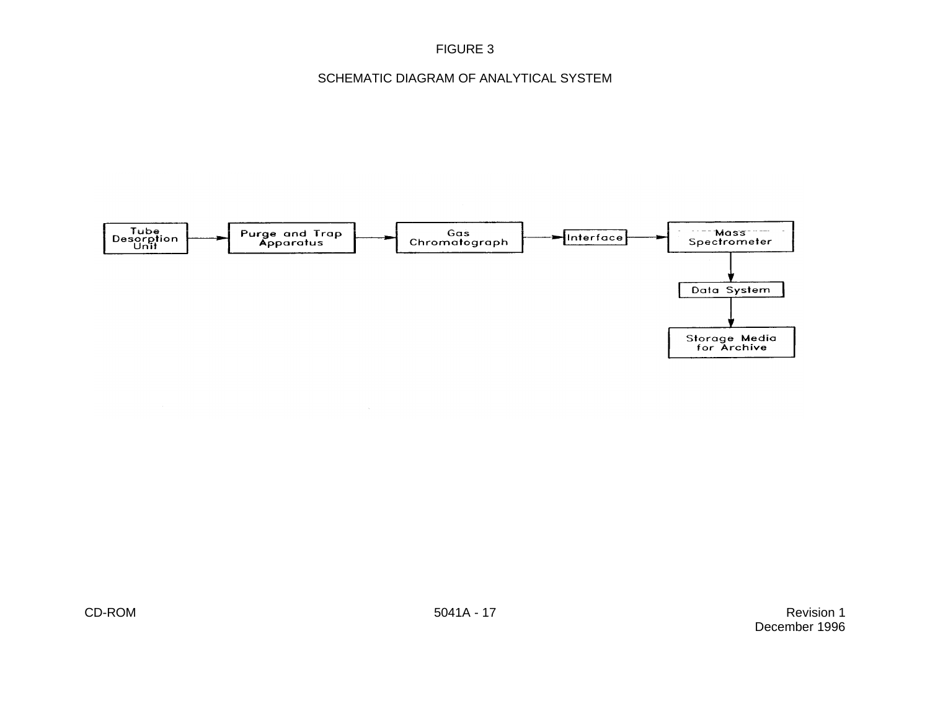## SCHEMATIC DIAGRAM OF ANALYTICAL SYSTEM

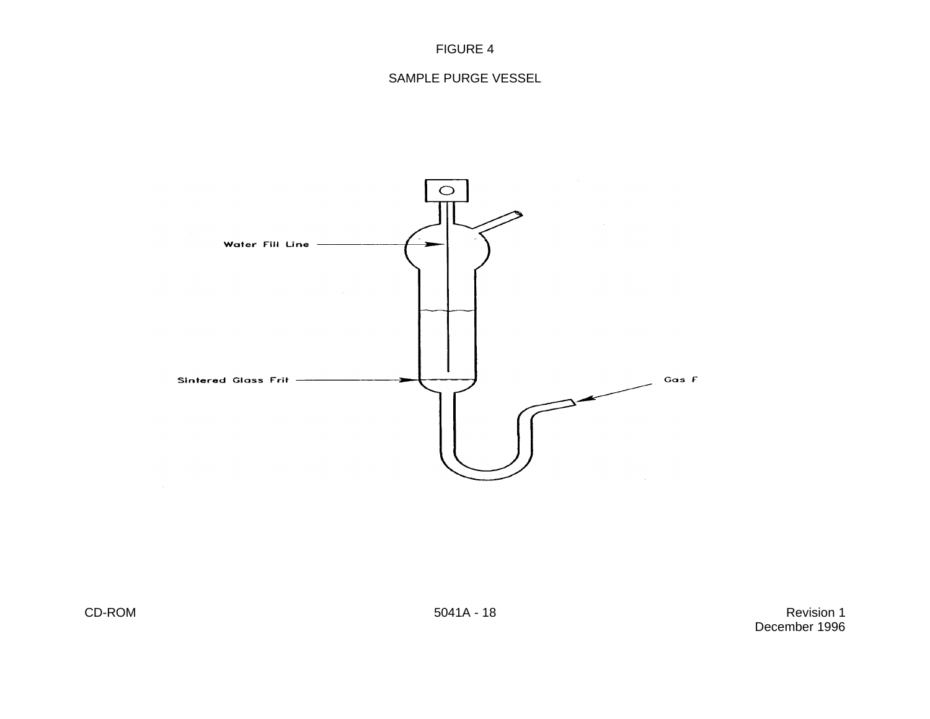

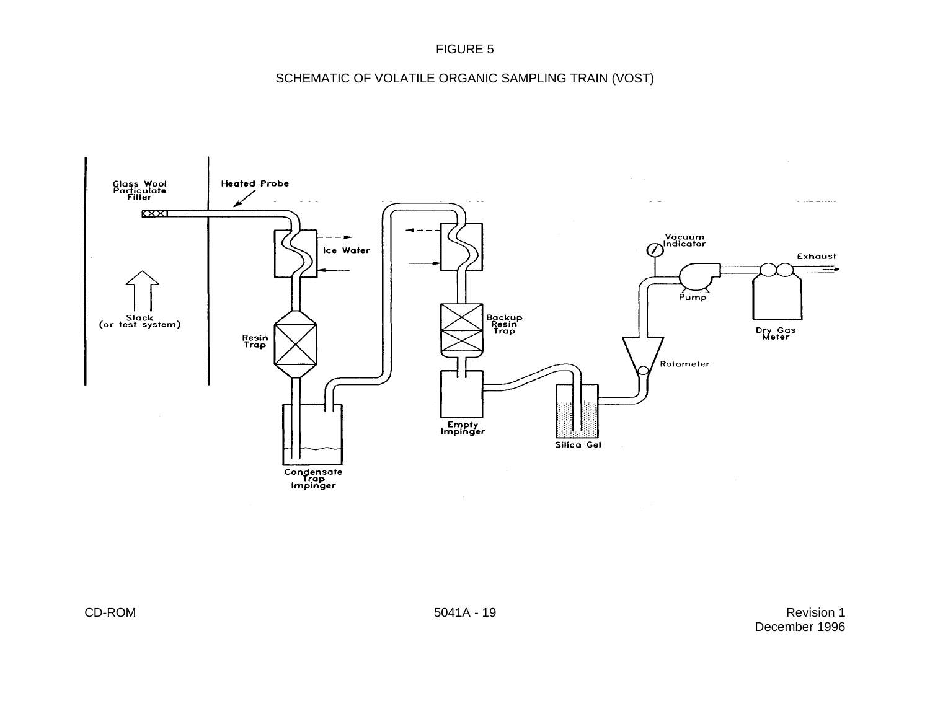SCHEMATIC OF VOLATILE ORGANIC SAMPLING TRAIN (VOST)



CD-ROM Revision 1 December 1996